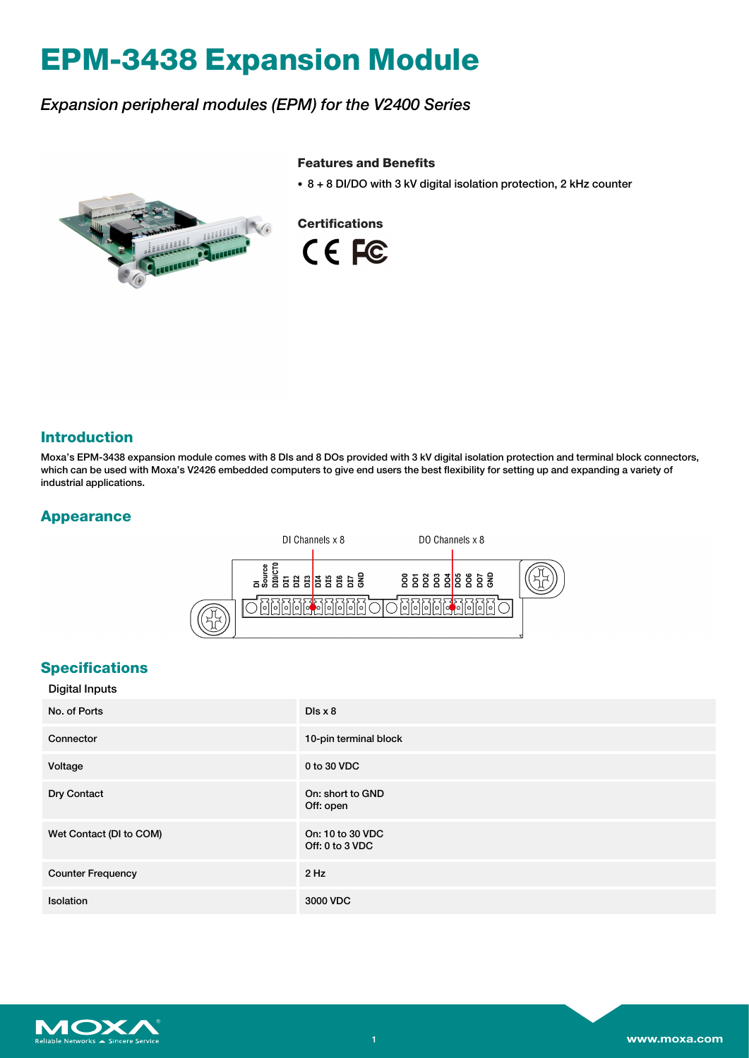# **EPM-3438 Expansion Module**

# *Expansion peripheral modules (EPM) for the V2400 Series*

#### **Features and Benefits**

• 8 + 8 DI/DO with 3 kV digital isolation protection, 2 kHz counter





#### **Introduction**

Moxa's EPM-3438 expansion module comes with 8 DIs and 8 DOs provided with 3 kV digital isolation protection and terminal block connectors, which can be used with Moxa's V2426 embedded computers to give end users the best flexibility for setting up and expanding a variety of industrial applications.

## **Appearance**



### **Specifications**

| <b>Digital Inputs</b>    |                                     |
|--------------------------|-------------------------------------|
| No. of Ports             | Dis x 8                             |
| Connector                | 10-pin terminal block               |
| Voltage                  | 0 to 30 VDC                         |
| Dry Contact              | On: short to GND<br>Off: open       |
| Wet Contact (DI to COM)  | On: 10 to 30 VDC<br>Off: 0 to 3 VDC |
| <b>Counter Frequency</b> | $2$ Hz                              |
| <b>Isolation</b>         | 3000 VDC                            |